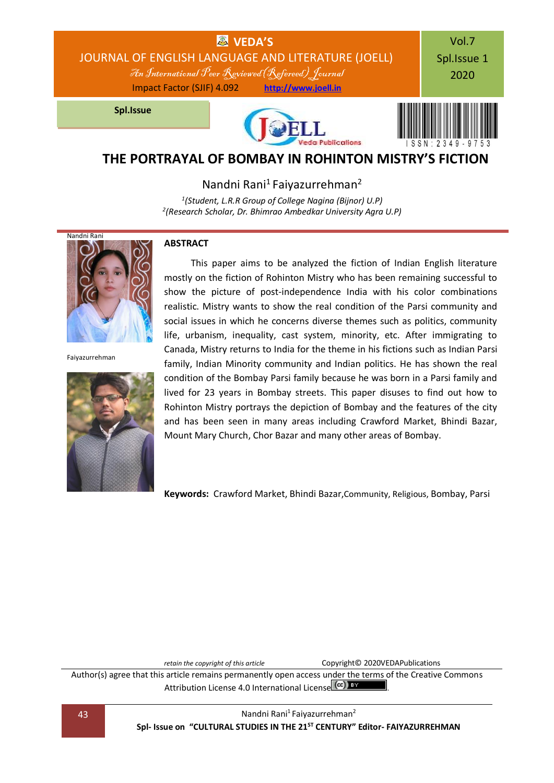

Nandni Rani<sup>1</sup> Faiyazurrehman<sup>2</sup>

*1 (Student, L.R.R Group of College Nagina (Bijnor) U.P) 2 (Research Scholar, Dr. Bhimrao Ambedkar University Agra U.P)*



Faiyazurrehman



#### **ABSTRACT**

This paper aims to be analyzed the fiction of Indian English literature mostly on the fiction of Rohinton Mistry who has been remaining successful to show the picture of post-independence India with his color combinations realistic. Mistry wants to show the real condition of the Parsi community and social issues in which he concerns diverse themes such as politics, community life, urbanism, inequality, cast system, minority, etc. After immigrating to Canada, Mistry returns to India for the theme in his fictions such as Indian Parsi family, Indian Minority community and Indian politics. He has shown the real condition of the Bombay Parsi family because he was born in a Parsi family and lived for 23 years in Bombay streets. This paper disuses to find out how to Rohinton Mistry portrays the depiction of Bombay and the features of the city and has been seen in many areas including Crawford Market, Bhindi Bazar, Mount Mary Church, Chor Bazar and many other areas of Bombay.

**Keywords:** Crawford Market, Bhindi Bazar,Community, Religious, Bombay, Parsi

*retain the copyright of this article* **Copyright© 2020VEDAPublications** 

Author(s) agree that this article remains permanently open access under the terms of the Creative Commons Attribution Lic[e](http://creativecommons.org/licenses/by/4.0/)nse 4.0 International License (CC) EY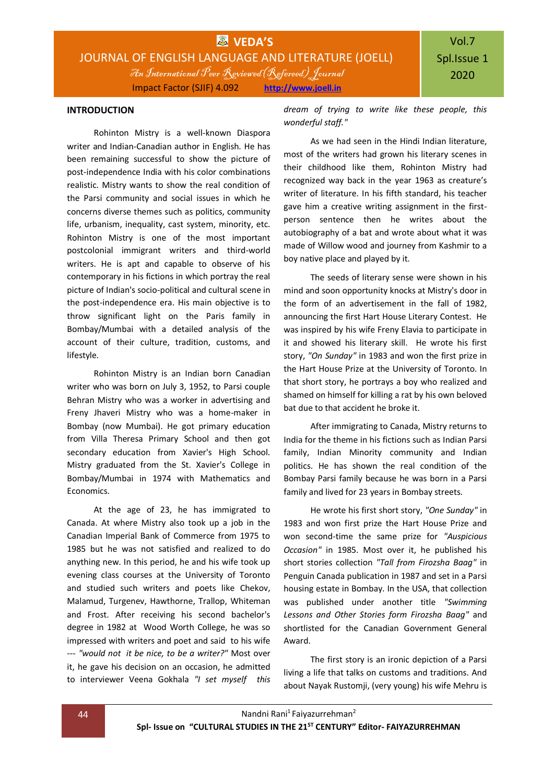#### **INTRODUCTION**

Rohinton Mistry is a well-known Diaspora writer and Indian-Canadian author in English. He has been remaining successful to show the picture of post-independence India with his color combinations realistic. Mistry wants to show the real condition of the Parsi community and social issues in which he concerns diverse themes such as politics, community life, urbanism, inequality, cast system, minority, etc. Rohinton Mistry is one of the most important postcolonial immigrant writers and third-world writers. He is apt and capable to observe of his contemporary in his fictions in which portray the real picture of Indian's socio-political and cultural scene in the post-independence era. His main objective is to throw significant light on the Paris family in Bombay/Mumbai with a detailed analysis of the account of their culture, tradition, customs, and lifestyle.

Rohinton Mistry is an Indian born Canadian writer who was born on July 3, 1952, to Parsi couple Behran Mistry who was a worker in advertising and Freny Jhaveri Mistry who was a home-maker in Bombay (now Mumbai). He got primary education from Villa Theresa Primary School and then got secondary education from Xavier's High School. Mistry graduated from the St. Xavier's College in Bombay/Mumbai in 1974 with Mathematics and Economics.

At the age of 23, he has immigrated to Canada. At where Mistry also took up a job in the Canadian Imperial Bank of Commerce from 1975 to 1985 but he was not satisfied and realized to do anything new. In this period, he and his wife took up evening class courses at the University of Toronto and studied such writers and poets like Chekov, Malamud, Turgenev, Hawthorne, Trallop, Whiteman and Frost. After receiving his second bachelor's degree in 1982 at Wood Worth College, he was so impressed with writers and poet and said to his wife --- *"would not it be nice, to be a writer?"* Most over it, he gave his decision on an occasion, he admitted to interviewer Veena Gokhala *"I set myself this*  *dream of trying to write like these people, this wonderful staff."*

As we had seen in the Hindi Indian literature, most of the writers had grown his literary scenes in their childhood like them, Rohinton Mistry had recognized way back in the year 1963 as creature's writer of literature. In his fifth standard, his teacher gave him a creative writing assignment in the firstperson sentence then he writes about the autobiography of a bat and wrote about what it was made of Willow wood and journey from Kashmir to a boy native place and played by it.

The seeds of literary sense were shown in his mind and soon opportunity knocks at Mistry's door in the form of an advertisement in the fall of 1982, announcing the first Hart House Literary Contest. He was inspired by his wife Freny Elavia to participate in it and showed his literary skill. He wrote his first story, *"On Sunday"* in 1983 and won the first prize in the Hart House Prize at the University of Toronto. In that short story, he portrays a boy who realized and shamed on himself for killing a rat by his own beloved bat due to that accident he broke it.

After immigrating to Canada, Mistry returns to India for the theme in his fictions such as Indian Parsi family, Indian Minority community and Indian politics. He has shown the real condition of the Bombay Parsi family because he was born in a Parsi family and lived for 23 years in Bombay streets.

He wrote his first short story, *"One Sunday"* in 1983 and won first prize the Hart House Prize and won second-time the same prize for *"Auspicious Occasion"* in 1985. Most over it, he published his short stories collection *"Tall from Firozsha Baag"* in Penguin Canada publication in 1987 and set in a Parsi housing estate in Bombay. In the USA, that collection was published under another title *"Swimming Lessons and Other Stories form Firozsha Baag"* and shortlisted for the Canadian Government General Award.

The first story is an ironic depiction of a Parsi living a life that talks on customs and traditions. And about Nayak Rustomji, (very young) his wife Mehru is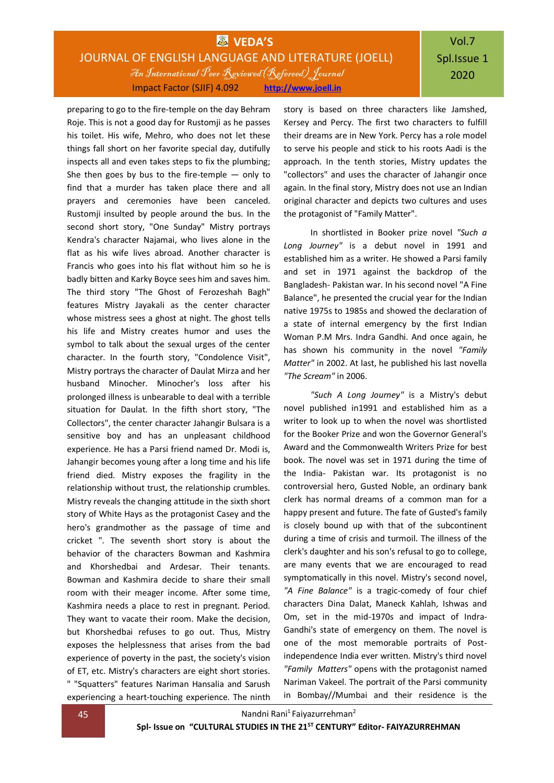## **WAS** VEDA'S JOURNAL OF ENGLISH LANGUAGE AND LITERATURE (JOELL) An International Peer Reviewed(Refereed) Journal Impact Factor (SJIF) 4.092 **[http://www.joell.in](http://www.joell.in/)**

preparing to go to the fire-temple on the day Behram Roje. This is not a good day for Rustomji as he passes his toilet. His wife, Mehro, who does not let these things fall short on her favorite special day, dutifully inspects all and even takes steps to fix the plumbing; She then goes by bus to the fire-temple  $-$  only to find that a murder has taken place there and all prayers and ceremonies have been canceled. Rustomji insulted by people around the bus. In the second short story, "One Sunday" Mistry portrays Kendra's character Najamai, who lives alone in the flat as his wife lives abroad. Another character is Francis who goes into his flat without him so he is badly bitten and Karky Boyce sees him and saves him. The third story "The Ghost of Ferozeshah Bagh" features Mistry Jayakali as the center character whose mistress sees a ghost at night. The ghost tells his life and Mistry creates humor and uses the symbol to talk about the sexual urges of the center character. In the fourth story, "Condolence Visit", Mistry portrays the character of Daulat Mirza and her husband Minocher. Minocher's loss after his prolonged illness is unbearable to deal with a terrible situation for Daulat. In the fifth short story, "The Collectors", the center character Jahangir Bulsara is a sensitive boy and has an unpleasant childhood experience. He has a Parsi friend named Dr. Modi is, Jahangir becomes young after a long time and his life friend died. Mistry exposes the fragility in the relationship without trust, the relationship crumbles. Mistry reveals the changing attitude in the sixth short story of White Hays as the protagonist Casey and the hero's grandmother as the passage of time and cricket ". The seventh short story is about the behavior of the characters Bowman and Kashmira and Khorshedbai and Ardesar. Their tenants. Bowman and Kashmira decide to share their small room with their meager income. After some time, Kashmira needs a place to rest in pregnant. Period. They want to vacate their room. Make the decision, but Khorshedbai refuses to go out. Thus, Mistry exposes the helplessness that arises from the bad experience of poverty in the past, the society's vision of ET, etc. Mistry's characters are eight short stories. " "Squatters" features Nariman Hansalia and Sarush experiencing a heart-touching experience. The ninth

story is based on three characters like Jamshed, Kersey and Percy. The first two characters to fulfill their dreams are in New York. Percy has a role model to serve his people and stick to his roots Aadi is the approach. In the tenth stories, Mistry updates the "collectors" and uses the character of Jahangir once again. In the final story, Mistry does not use an Indian original character and depicts two cultures and uses the protagonist of "Family Matter".

In shortlisted in Booker prize novel *"Such a Long Journey"* is a debut novel in 1991 and established him as a writer. He showed a Parsi family and set in 1971 against the backdrop of the Bangladesh- Pakistan war. In his second novel "A Fine Balance", he presented the crucial year for the Indian native 1975s to 1985s and showed the declaration of a state of internal emergency by the first Indian Woman P.M Mrs. Indra Gandhi. And once again, he has shown his community in the novel *"Family Matter"* in 2002. At last, he published his last novella *"The Scream"* in 2006.

*"Such A Long Journey"* is a Mistry's debut novel published in1991 and established him as a writer to look up to when the novel was shortlisted for the Booker Prize and won the Governor General's Award and the Commonwealth Writers Prize for best book. The novel was set in 1971 during the time of the India- Pakistan war. Its protagonist is no controversial hero, Gusted Noble, an ordinary bank clerk has normal dreams of a common man for a happy present and future. The fate of Gusted's family is closely bound up with that of the subcontinent during a time of crisis and turmoil. The illness of the clerk's daughter and his son's refusal to go to college, are many events that we are encouraged to read symptomatically in this novel. Mistry's second novel, *"A Fine Balance"* is a tragic-comedy of four chief characters Dina Dalat, Maneck Kahlah, Ishwas and Om, set in the mid-1970s and impact of Indra-Gandhi's state of emergency on them. The novel is one of the most memorable portraits of Postindependence India ever written. Mistry's third novel *"Family Matters"* opens with the protagonist named Nariman Vakeel. The portrait of the Parsi community in Bombay//Mumbai and their residence is the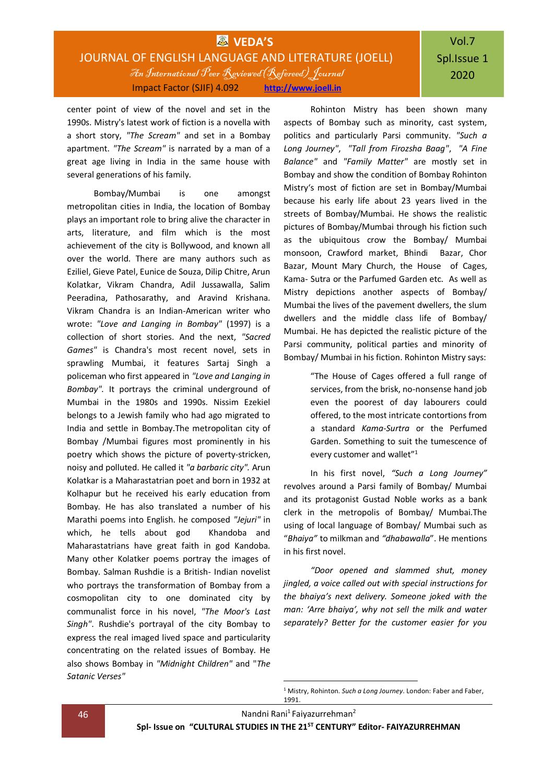### **WAS** VEDA'S JOURNAL OF ENGLISH LANGUAGE AND LITERATURE (JOELL) An International Peer Reviewed(Refereed) Journal Impact Factor (SJIF) 4.092 **[http://www.joell.in](http://www.joell.in/)**

# Vol.7 Spl.Issue 1 2020

center point of view of the novel and set in the 1990s. Mistry's latest work of fiction is a novella with a short story, *"The Scream"* and set in a Bombay apartment. *"The Scream"* is narrated by a man of a great age living in India in the same house with several generations of his family.

Bombay/Mumbai is one amongst metropolitan cities in India, the location of Bombay plays an important role to bring alive the character in arts, literature, and film which is the most achievement of the city is Bollywood, and known all over the world. There are many authors such as Eziliel, Gieve Patel, Eunice de Souza, Dilip Chitre, Arun Kolatkar, Vikram Chandra, Adil Jussawalla, Salim Peeradina, Pathosarathy, and Aravind Krishana. Vikram Chandra is an Indian-American writer who wrote: *"Love and Langing in Bombay"* (1997) is a collection of short stories. And the next, *"Sacred Games"* is Chandra's most recent novel, sets in sprawling Mumbai, it features Sartaj Singh a policeman who first appeared in *"Love and Langing in Bombay".* It portrays the criminal underground of Mumbai in the 1980s and 1990s. Nissim Ezekiel belongs to a Jewish family who had ago migrated to India and settle in Bombay.The metropolitan city of Bombay /Mumbai figures most prominently in his poetry which shows the picture of poverty-stricken, noisy and polluted. He called it *"a barbaric city".* Arun Kolatkar is a Maharastatrian poet and born in 1932 at Kolhapur but he received his early education from Bombay. He has also translated a number of his Marathi poems into English. he composed *"Jejuri"* in which, he tells about god Khandoba and Maharastatrians have great faith in god Kandoba. Many other Kolatker poems portray the images of Bombay. Salman Rushdie is a British- Indian novelist who portrays the transformation of Bombay from a cosmopolitan city to one dominated city by communalist force in his novel, *"The Moor's Last Singh"*. Rushdie's portrayal of the city Bombay to express the real imaged lived space and particularity concentrating on the related issues of Bombay. He also shows Bombay in *"Midnight Children"* and "*The Satanic Verses"*

Rohinton Mistry has been shown many aspects of Bombay such as minority, cast system, politics and particularly Parsi community. *"Such a Long Journey"*, *"Tall from Firozsha Baag"*, *"A Fine Balance"* and *"Family Matter"* are mostly set in Bombay and show the condition of Bombay Rohinton Mistry's most of fiction are set in Bombay/Mumbai because his early life about 23 years lived in the streets of Bombay/Mumbai. He shows the realistic pictures of Bombay/Mumbai through his fiction such as the ubiquitous crow the Bombay/ Mumbai monsoon, Crawford market, Bhindi Bazar, Chor Bazar, Mount Mary Church, the House of Cages, Kama- Sutra or the Parfumed Garden etc. As well as Mistry depictions another aspects of Bombay/ Mumbai the lives of the pavement dwellers, the slum dwellers and the middle class life of Bombay/ Mumbai. He has depicted the realistic picture of the Parsi community, political parties and minority of Bombay/ Mumbai in his fiction. Rohinton Mistry says:

> "The House of Cages offered a full range of services, from the brisk, no-nonsense hand job even the poorest of day labourers could offered, to the most intricate contortions from a standard *Kama-Surtra* or the Perfumed Garden. Something to suit the tumescence of every customer and wallet"<sup>1</sup>

In his first novel, *"Such a Long Journey"* revolves around a Parsi family of Bombay/ Mumbai and its protagonist Gustad Noble works as a bank clerk in the metropolis of Bombay/ Mumbai.The using of local language of Bombay/ Mumbai such as "*Bhaiya"* to milkman and *"dhabawalla*". He mentions in his first novel.

*"Door opened and slammed shut, money jingled, a voice called out with special instructions for the bhaiya's next delivery. Someone joked with the man: 'Arre bhaiya', why not sell the milk and water separately? Better for the customer easier for you* 

**.** 

<sup>&</sup>lt;sup>1</sup> Mistry, Rohinton. *Such a Long Journey*. London: Faber and Faber, 1991.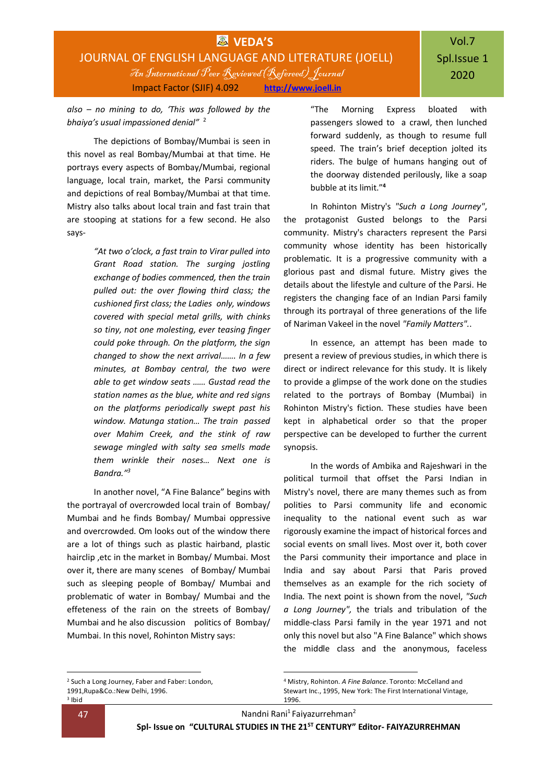*also – no mining to do, 'This was followed by the bhaiya's usual impassioned denial"* 2

The depictions of Bombay/Mumbai is seen in this novel as real Bombay/Mumbai at that time. He portrays every aspects of Bombay/Mumbai, regional language, local train, market, the Parsi community and depictions of real Bombay/Mumbai at that time. Mistry also talks about local train and fast train that are stooping at stations for a few second. He also says-

> *"At two o'clock, a fast train to Virar pulled into Grant Road station. The surging jostling exchange of bodies commenced, then the train pulled out: the over flowing third class; the cushioned first class; the Ladies only, windows covered with special metal grills, with chinks so tiny, not one molesting, ever teasing finger could poke through. On the platform, the sign changed to show the next arrival……. In a few minutes, at Bombay central, the two were able to get window seats …… Gustad read the station names as the blue, white and red signs on the platforms periodically swept past his window. Matunga station… The train passed over Mahim Creek, and the stink of raw sewage mingled with salty sea smells made them wrinkle their noses… Next one is Bandra."<sup>3</sup>*

In another novel, "A Fine Balance" begins with the portrayal of overcrowded local train of Bombay/ Mumbai and he finds Bombay/ Mumbai oppressive and overcrowded. Om looks out of the window there are a lot of things such as plastic hairband, plastic hairclip ,etc in the market in Bombay/ Mumbai. Most over it, there are many scenes of Bombay/ Mumbai such as sleeping people of Bombay/ Mumbai and problematic of water in Bombay/ Mumbai and the effeteness of the rain on the streets of Bombay/ Mumbai and he also discussion politics of Bombay/ Mumbai. In this novel, Rohinton Mistry says:

"The Morning Express bloated with passengers slowed to a crawl, then lunched forward suddenly, as though to resume full speed. The train's brief deception jolted its riders. The bulge of humans hanging out of the doorway distended perilously, like a soap bubble at its limit."**<sup>4</sup>**

In Rohinton Mistry's *"Such a Long Journey"*, the protagonist Gusted belongs to the Parsi community. Mistry's characters represent the Parsi community whose identity has been historically problematic. It is a progressive community with a glorious past and dismal future. Mistry gives the details about the lifestyle and culture of the Parsi. He registers the changing face of an Indian Parsi family through its portrayal of three generations of the life of Nariman Vakeel in the novel *"Family Matters".*.

In essence, an attempt has been made to present a review of previous studies, in which there is direct or indirect relevance for this study. It is likely to provide a glimpse of the work done on the studies related to the portrays of Bombay (Mumbai) in Rohinton Mistry's fiction. These studies have been kept in alphabetical order so that the proper perspective can be developed to further the current synopsis.

In the words of Ambika and Rajeshwari in the political turmoil that offset the Parsi Indian in Mistry's novel, there are many themes such as from polities to Parsi community life and economic inequality to the national event such as war rigorously examine the impact of historical forces and social events on small lives. Most over it, both cover the Parsi community their importance and place in India and say about Parsi that Paris proved themselves as an example for the rich society of India. The next point is shown from the novel, *"Such a Long Journey",* the trials and tribulation of the middle-class Parsi family in the year 1971 and not only this novel but also "A Fine Balance" which shows the middle class and the anonymous, faceless

-

-

<sup>2</sup> Such a Long Journey, Faber and Faber: London,

<sup>1991,</sup>Rupa&Co.:New Delhi, 1996.

<sup>3</sup> Ibid

<sup>4</sup> Mistry, Rohinton. *A Fine Balance*. Toronto: McCelland and Stewart Inc., 1995, New York: The First International Vintage, 1996.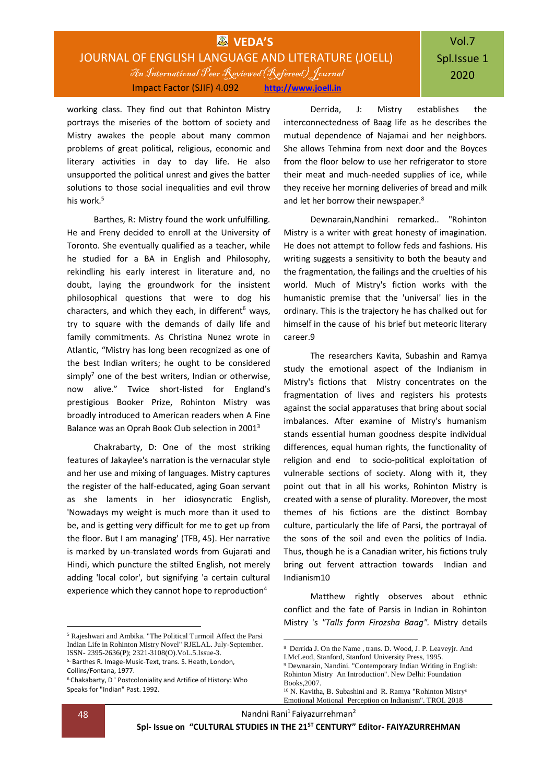### **WVEDA'S** JOURNAL OF ENGLISH LANGUAGE AND LITERATURE (JOELL) An International Peer Reviewed(Refereed) Journal Impact Factor (SJIF) 4.092 **[http://www.joell.in](http://www.joell.in/)**

working class. They find out that Rohinton Mistry portrays the miseries of the bottom of society and Mistry awakes the people about many common problems of great political, religious, economic and literary activities in day to day life. He also unsupported the political unrest and gives the batter solutions to those social inequalities and evil throw his work.<sup>5</sup>

Barthes, R: Mistry found the work unfulfilling. He and Freny decided to enroll at the University of Toronto. She eventually qualified as a teacher, while he studied for a BA in English and Philosophy, rekindling his early interest in literature and, no doubt, laying the groundwork for the insistent philosophical questions that were to dog his characters, and which they each, in different $6$  ways, try to square with the demands of daily life and family commitments. As Christina Nunez wrote in Atlantic, "Mistry has long been recognized as one of the best Indian writers; he ought to be considered simply<sup>7</sup> one of the best writers, Indian or otherwise, now alive." Twice short-listed for England's prestigious Booker Prize, Rohinton Mistry was broadly introduced to American readers when A Fine Balance was an Oprah Book Club selection in 2001<sup>3</sup>

Chakrabarty, D: One of the most striking features of Jakaylee's narration is the vernacular style and her use and mixing of languages. Mistry captures the register of the half-educated, aging Goan servant as she laments in her idiosyncratic English, 'Nowadays my weight is much more than it used to be, and is getting very difficult for me to get up from the floor. But I am managing' (TFB, 45). Her narrative is marked by un-translated words from Gujarati and Hindi, which puncture the stilted English, not merely adding 'local color', but signifying 'a certain cultural experience which they cannot hope to reproduction<sup>4</sup>

Derrida, J: Mistry establishes the interconnectedness of Baag life as he describes the mutual dependence of Najamai and her neighbors. She allows Tehmina from next door and the Boyces from the floor below to use her refrigerator to store their meat and much-needed supplies of ice, while they receive her morning deliveries of bread and milk and let her borrow their newspaper.<sup>8</sup>

Dewnarain,Nandhini remarked.. "Rohinton Mistry is a writer with great honesty of imagination. He does not attempt to follow feds and fashions. His writing suggests a sensitivity to both the beauty and the fragmentation, the failings and the cruelties of his world. Much of Mistry's fiction works with the humanistic premise that the 'universal' lies in the ordinary. This is the trajectory he has chalked out for himself in the cause of his brief but meteoric literary career.9

The researchers Kavita, Subashin and Ramya study the emotional aspect of the Indianism in Mistry's fictions that Mistry concentrates on the fragmentation of lives and registers his protests against the social apparatuses that bring about social imbalances. After examine of Mistry's humanism stands essential human goodness despite individual differences, equal human rights, the functionality of religion and end to socio-political exploitation of vulnerable sections of society. Along with it, they point out that in all his works, Rohinton Mistry is created with a sense of plurality. Moreover, the most themes of his fictions are the distinct Bombay culture, particularly the life of Parsi, the portrayal of the sons of the soil and even the politics of India. Thus, though he is a Canadian writer, his fictions truly bring out fervent attraction towards Indian and Indianism10

Matthew rightly observes about ethnic conflict and the fate of Parsis in Indian in Rohinton Mistry 's *"Talls form Firozsha Baag".* Mistry details

**.** 

<sup>-</sup><sup>5</sup> Rajeshwari and Ambika. "The Political Turmoil Affect the Parsi Indian Life in Rohinton Mistry Novel" RJELAL. July-September. ISSN- 2395-2636(P); 2321-3108(O).VoL.5.Issue-3.

<sup>5.</sup> Barthes R. Image-Music-Text, trans. S. Heath, London, Collins/Fontana, 1977.

<sup>&</sup>lt;sup>6</sup> Chakabarty, D ' Postcoloniality and Artifice of History: Who Speaks for "Indian" Past. 1992.

<sup>8</sup> Derrida J. On the Name , trans. D. Wood, J. P. Leaveyjr. And I.McLeod, Stanford, Stanford University Press, 1995.

<sup>9</sup> Dewnarain, Nandini. "Contemporary Indian Writing in English: Rohinton Mistry An Introduction". New Delhi: Foundation Books,2007.

<sup>10</sup> N. Kavitha, B. Subashini and R. Ramya "Rohinton Mistry<sup>s</sup> Emotional Motional Perception on Indianism". TROI. 2018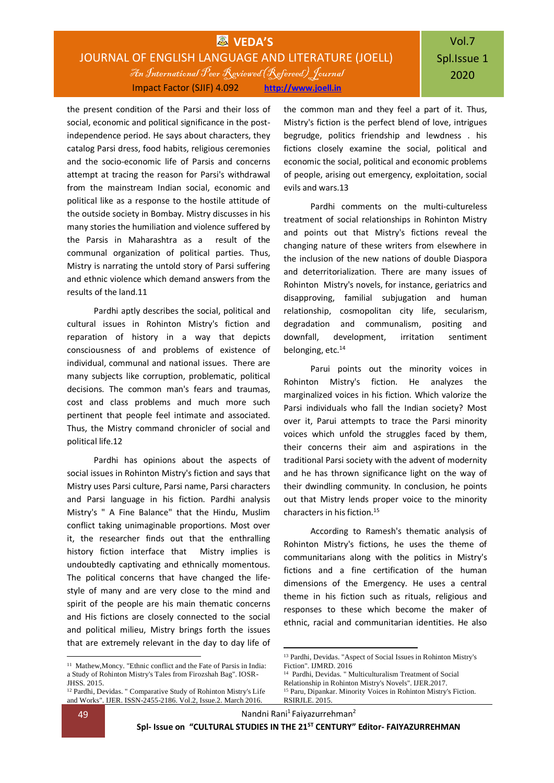### **VEDA'S** JOURNAL OF ENGLISH LANGUAGE AND LITERATURE (JOELL) An International Peer Reviewed(Refereed) Journal Impact Factor (SJIF) 4.092 **[http://www.joell.in](http://www.joell.in/)**

the present condition of the Parsi and their loss of social, economic and political significance in the postindependence period. He says about characters, they catalog Parsi dress, food habits, religious ceremonies and the socio-economic life of Parsis and concerns attempt at tracing the reason for Parsi's withdrawal from the mainstream Indian social, economic and political like as a response to the hostile attitude of the outside society in Bombay. Mistry discusses in his many stories the humiliation and violence suffered by the Parsis in Maharashtra as a result of the communal organization of political parties. Thus, Mistry is narrating the untold story of Parsi suffering and ethnic violence which demand answers from the results of the land.11

Pardhi aptly describes the social, political and cultural issues in Rohinton Mistry's fiction and reparation of history in a way that depicts consciousness of and problems of existence of individual, communal and national issues. There are many subjects like corruption, problematic, political decisions. The common man's fears and traumas, cost and class problems and much more such pertinent that people feel intimate and associated. Thus, the Mistry command chronicler of social and political life.12

Pardhi has opinions about the aspects of social issues in Rohinton Mistry's fiction and says that Mistry uses Parsi culture, Parsi name, Parsi characters and Parsi language in his fiction. Pardhi analysis Mistry's " A Fine Balance" that the Hindu, Muslim conflict taking unimaginable proportions. Most over it, the researcher finds out that the enthralling history fiction interface that Mistry implies is undoubtedly captivating and ethnically momentous. The political concerns that have changed the lifestyle of many and are very close to the mind and spirit of the people are his main thematic concerns and His fictions are closely connected to the social and political milieu, Mistry brings forth the issues that are extremely relevant in the day to day life of the common man and they feel a part of it. Thus, Mistry's fiction is the perfect blend of love, intrigues begrudge, politics friendship and lewdness . his fictions closely examine the social, political and economic the social, political and economic problems of people, arising out emergency, exploitation, social evils and wars.13

Pardhi comments on the multi-cultureless treatment of social relationships in Rohinton Mistry and points out that Mistry's fictions reveal the changing nature of these writers from elsewhere in the inclusion of the new nations of double Diaspora and deterritorialization. There are many issues of Rohinton Mistry's novels, for instance, geriatrics and disapproving, familial subjugation and human relationship, cosmopolitan city life, secularism, degradation and communalism, positing and downfall, development, irritation sentiment belonging, etc.<sup>14</sup>

Parui points out the minority voices in Rohinton Mistry's fiction. He analyzes the marginalized voices in his fiction. Which valorize the Parsi individuals who fall the Indian society? Most over it, Parui attempts to trace the Parsi minority voices which unfold the struggles faced by them, their concerns their aim and aspirations in the traditional Parsi society with the advent of modernity and he has thrown significance light on the way of their dwindling community. In conclusion, he points out that Mistry lends proper voice to the minority characters in his fiction.<sup>15</sup>

According to Ramesh's thematic analysis of Rohinton Mistry's fictions, he uses the theme of communitarians along with the politics in Mistry's fictions and a fine certification of the human dimensions of the Emergency. He uses a central theme in his fiction such as rituals, religious and responses to these which become the maker of ethnic, racial and communitarian identities. He also

1

<sup>&</sup>lt;sup>11</sup> Mathew, Moncy. "Ethnic conflict and the Fate of Parsis in India: a Study of Rohinton Mistry's Tales from Firozshah Bag". IOSR-JHSS. 2015.

<sup>12</sup> Pardhi, Devidas. " Comparative Study of Rohinton Mistry's Life and Works". IJER. ISSN-2455-2186. Vol.2, Issue.2. March 2016.

<sup>1</sup> <sup>13</sup> Pardhi, Devidas. "Aspect of Social Issues in Rohinton Mistry's Fiction". IJMRD. 2016

<sup>14</sup> Pardhi, Devidas. " Multiculturalism Treatment of Social

Relationship in Rohinton Mistry's Novels". IJER.2017.

<sup>15</sup> Paru, Dipankar. Minority Voices in Rohinton Mistry's Fiction. RSIRJLE. 2015.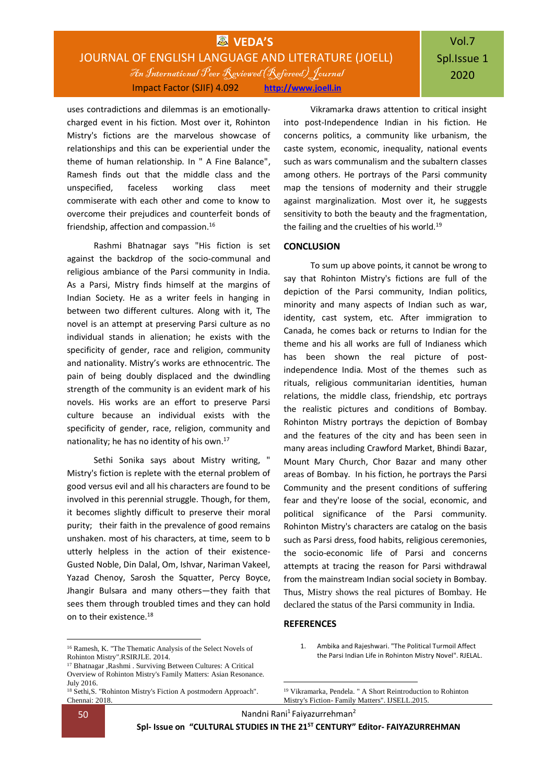## **WEDA'S** JOURNAL OF ENGLISH LANGUAGE AND LITERATURE (JOELL) An International Peer Reviewed(Refereed) Journal Impact Factor (SJIF) 4.092 **[http://www.joell.in](http://www.joell.in/)**

# Vol.7 Spl.Issue 1 2020

uses contradictions and dilemmas is an emotionallycharged event in his fiction. Most over it, Rohinton Mistry's fictions are the marvelous showcase of relationships and this can be experiential under the theme of human relationship. In " A Fine Balance", Ramesh finds out that the middle class and the unspecified, faceless working class meet commiserate with each other and come to know to overcome their prejudices and counterfeit bonds of friendship, affection and compassion.<sup>16</sup>

Rashmi Bhatnagar says "His fiction is set against the backdrop of the socio-communal and religious ambiance of the Parsi community in India. As a Parsi, Mistry finds himself at the margins of Indian Society. He as a writer feels in hanging in between two different cultures. Along with it, The novel is an attempt at preserving Parsi culture as no individual stands in alienation; he exists with the specificity of gender, race and religion, community and nationality. Mistry's works are ethnocentric. The pain of being doubly displaced and the dwindling strength of the community is an evident mark of his novels. His works are an effort to preserve Parsi culture because an individual exists with the specificity of gender, race, religion, community and nationality; he has no identity of his own.<sup>17</sup>

Sethi Sonika says about Mistry writing, " Mistry's fiction is replete with the eternal problem of good versus evil and all his characters are found to be involved in this perennial struggle. Though, for them, it becomes slightly difficult to preserve their moral purity; their faith in the prevalence of good remains unshaken. most of his characters, at time, seem to b utterly helpless in the action of their existence-Gusted Noble, Din Dalal, Om, Ishvar, Nariman Vakeel, Yazad Chenoy, Sarosh the Squatter, Percy Boyce, Jhangir Bulsara and many others—they faith that sees them through troubled times and they can hold on to their existence.<sup>18</sup>

<sup>16</sup> Ramesh, K. "The Thematic Analysis of the Select Novels of Rohinton Mistry".RSIRJLE. 2014.

Vikramarka draws attention to critical insight into post-Independence Indian in his fiction. He concerns politics, a community like urbanism, the caste system, economic, inequality, national events such as wars communalism and the subaltern classes among others. He portrays of the Parsi community map the tensions of modernity and their struggle against marginalization. Most over it, he suggests sensitivity to both the beauty and the fragmentation, the failing and the cruelties of his world.<sup>19</sup>

#### **CONCLUSION**

To sum up above points, it cannot be wrong to say that Rohinton Mistry's fictions are full of the depiction of the Parsi community, Indian politics, minority and many aspects of Indian such as war, identity, cast system, etc. After immigration to Canada, he comes back or returns to Indian for the theme and his all works are full of Indianess which has been shown the real picture of postindependence India. Most of the themes such as rituals, religious communitarian identities, human relations, the middle class, friendship, etc portrays the realistic pictures and conditions of Bombay. Rohinton Mistry portrays the depiction of Bombay and the features of the city and has been seen in many areas including Crawford Market, Bhindi Bazar, Mount Mary Church, Chor Bazar and many other areas of Bombay. In his fiction, he portrays the Parsi Community and the present conditions of suffering fear and they're loose of the social, economic, and political significance of the Parsi community. Rohinton Mistry's characters are catalog on the basis such as Parsi dress, food habits, religious ceremonies, the socio-economic life of Parsi and concerns attempts at tracing the reason for Parsi withdrawal from the mainstream Indian social society in Bombay. Thus, Mistry shows the real pictures of Bombay. He declared the status of the Parsi community in India.

#### **REFERENCES**

1. Ambika and Rajeshwari. "The Political Turmoil Affect the Parsi Indian Life in Rohinton Mistry Novel". RJELAL.

**.** 

**.** 

<sup>17</sup> Bhatnagar ,Rashmi . Surviving Between Cultures: A Critical Overview of Rohinton Mistry's Family Matters: Asian Resonance. July 2016.

<sup>18</sup> Sethi,S. "Rohinton Mistry's Fiction A postmodern Approach". Chennai: 2018.

<sup>19</sup> Vikramarka, Pendela. " A Short Reintroduction to Rohinton Mistry's Fiction- Family Matters". IJSELL.2015.